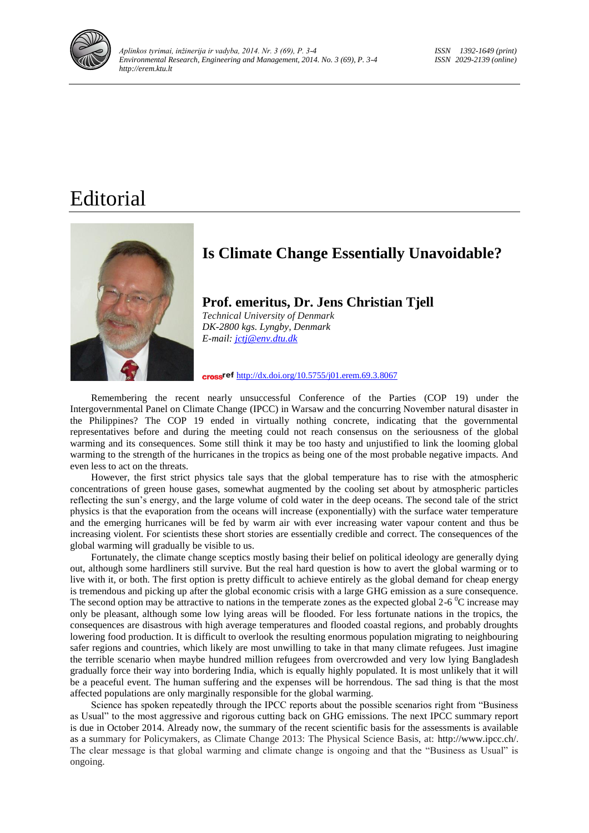

## Editorial



## **Is Climate Change Essentially Unavoidable?**

**Prof. emeritus, Dr. Jens Christian Tjell** *Technical University of Denmark DK-2800 kgs. Lyngby, Denmark E-mail[: jctj@env.dtu.dk](mailto:jctj@env.dtu.dk)*

cross<sup>ref</sup> <http://dx.doi.org/10.5755/j01.erem.69.3.8067>

Remembering the recent nearly unsuccessful Conference of the Parties (COP 19) under the Intergovernmental Panel on Climate Change (IPCC) in Warsaw and the concurring November natural disaster in the Philippines? The COP 19 ended in virtually nothing concrete, indicating that the governmental representatives before and during the meeting could not reach consensus on the seriousness of the global warming and its consequences. Some still think it may be too hasty and unjustified to link the looming global warming to the strength of the hurricanes in the tropics as being one of the most probable negative impacts. And even less to act on the threats.

However, the first strict physics tale says that the global temperature has to rise with the atmospheric concentrations of green house gases, somewhat augmented by the cooling set about by atmospheric particles reflecting the sun's energy, and the large volume of cold water in the deep oceans. The second tale of the strict physics is that the evaporation from the oceans will increase (exponentially) with the surface water temperature and the emerging hurricanes will be fed by warm air with ever increasing water vapour content and thus be increasing violent. For scientists these short stories are essentially credible and correct. The consequences of the global warming will gradually be visible to us.

Fortunately, the climate change sceptics mostly basing their belief on political ideology are generally dying out, although some hardliners still survive. But the real hard question is how to avert the global warming or to live with it, or both. The first option is pretty difficult to achieve entirely as the global demand for cheap energy is tremendous and picking up after the global economic crisis with a large GHG emission as a sure consequence. The second option may be attractive to nations in the temperate zones as the expected global 2-6  $\degree$ C increase may only be pleasant, although some low lying areas will be flooded. For less fortunate nations in the tropics, the consequences are disastrous with high average temperatures and flooded coastal regions, and probably droughts lowering food production. It is difficult to overlook the resulting enormous population migrating to neighbouring safer regions and countries, which likely are most unwilling to take in that many climate refugees. Just imagine the terrible scenario when maybe hundred million refugees from overcrowded and very low lying Bangladesh gradually force their way into bordering India, which is equally highly populated. It is most unlikely that it will be a peaceful event. The human suffering and the expenses will be horrendous. The sad thing is that the most affected populations are only marginally responsible for the global warming.

Science has spoken repeatedly through the IPCC reports about the possible scenarios right from "Business as Usual" to the most aggressive and rigorous cutting back on GHG emissions. The next IPCC summary report is due in October 2014. Already now, the summary of the recent scientific basis for the assessments is available as a summary for Policymakers, as Climate Change 2013: The Physical Science Basis, at: http://www.ipcc.ch/. The clear message is that global warming and climate change is ongoing and that the "Business as Usual" is ongoing.